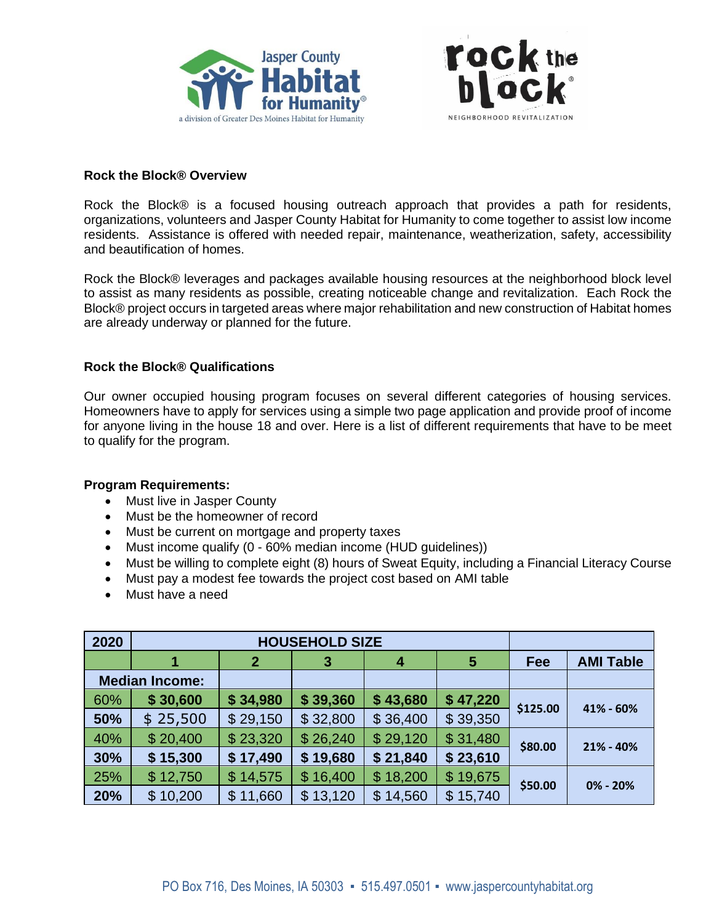



### **Rock the Block® Overview**

Rock the Block® is a focused housing outreach approach that provides a path for residents, organizations, volunteers and Jasper County Habitat for Humanity to come together to assist low income residents. Assistance is offered with needed repair, maintenance, weatherization, safety, accessibility and beautification of homes.

Rock the Block® leverages and packages available housing resources at the neighborhood block level to assist as many residents as possible, creating noticeable change and revitalization. Each Rock the Block® project occurs in targeted areas where major rehabilitation and new construction of Habitat homes are already underway or planned for the future.

# **Rock the Block® Qualifications**

Our owner occupied housing program focuses on several different categories of housing services. Homeowners have to apply for services using a simple two page application and provide proof of income for anyone living in the house 18 and over. Here is a list of different requirements that have to be meet to qualify for the program.

### **Program Requirements:**

- Must live in Jasper County
- Must be the homeowner of record
- Must be current on mortgage and property taxes
- Must income qualify (0 60% median income (HUD guidelines))
- Must be willing to complete eight (8) hours of Sweat Equity, including a Financial Literacy Course
- Must pay a modest fee towards the project cost based on AMI table
- Must have a need

| 2020                  | <b>HOUSEHOLD SIZE</b> |                |              |                          |          |          |                  |
|-----------------------|-----------------------|----------------|--------------|--------------------------|----------|----------|------------------|
|                       |                       | $\overline{2}$ | $\mathbf{3}$ | 4                        | 5        | Fee      | <b>AMI Table</b> |
| <b>Median Income:</b> |                       |                |              |                          |          |          |                  |
| 60%                   | \$30,600              | \$34,980       | \$39,360     | \$43,680                 | \$47,220 | \$125.00 | 41% - 60%        |
| 50%                   | \$25,500              | \$29,150       | \$32,800     | \$36,400                 | \$39,350 |          |                  |
| 40%                   | \$20,400              | \$23,320       | \$26,240     | \$29,120                 | \$31,480 | \$80.00  | 21% - 40%        |
| 30%                   | \$15,300              | \$17,490       | \$19,680     | \$21,840                 | \$23,610 |          |                  |
| 25%                   | \$12,750              | \$14,575       | \$16,400     | \$18,200                 | \$19,675 | \$50.00  | 0% - 20%         |
| 20%                   | \$10,200              | 11,660<br>\$   | \$13,120     | 14,560<br>$\mathfrak{L}$ | \$15,740 |          |                  |